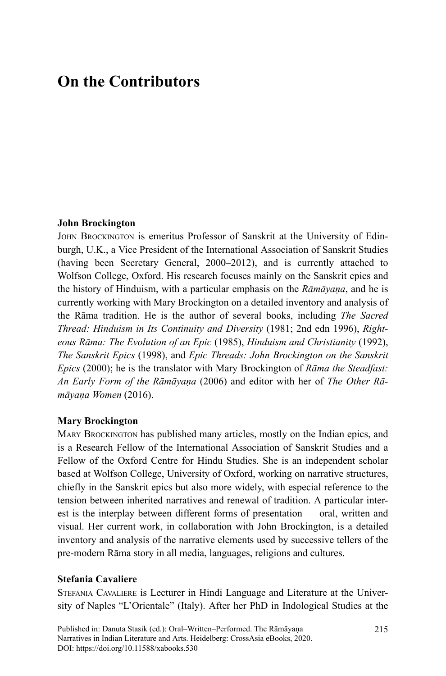# **On the Contributors**

#### **John Brockington**

JOHN BROCKINGTON is emeritus Professor of Sanskrit at the University of Edinburgh, U.K., a Vice President of the International Association of Sanskrit Studies (having been Secretary General, 2000–2012), and is currently attached to Wolfson College, Oxford. His research focuses mainly on the Sanskrit epics and the history of Hinduism, with a particular emphasis on the *Rāmāyaṇa*, and he is currently working with Mary Brockington on a detailed inventory and analysis of the Rāma tradition. He is the author of several books, including *The Sacred Thread: Hinduism in Its Continuity and Diversity* (1981; 2nd edn 1996), *Righteous Rāma: The Evolution of an Epic* (1985), *Hinduism and Christianity* (1992), *The Sanskrit Epics* (1998), and *Epic Threads: John Brockington on the Sanskrit Epics* (2000); he is the translator with Mary Brockington of *Rāma the Steadfast: An Early Form of the Rāmāyaṇa* (2006) and editor with her of *The Other Rāmāyaṇa Women* (2016).

#### **Mary Brockington**

MARY BROCKINGTON has published many articles, mostly on the Indian epics, and is a Research Fellow of the International Association of Sanskrit Studies and a Fellow of the Oxford Centre for Hindu Studies. She is an independent scholar based at Wolfson College, University of Oxford, working on narrative structures, chiefly in the Sanskrit epics but also more widely, with especial reference to the tension between inherited narratives and renewal of tradition. A particular interest is the interplay between different forms of presentation — oral, written and visual. Her current work, in collaboration with John Brockington, is a detailed inventory and analysis of the narrative elements used by successive tellers of the pre-modern Rāma story in all media, languages, religions and cultures.

#### **Stefania Cavaliere**

STEFANIA CAVALIERE is Lecturer in Hindi Language and Literature at the University of Naples "L'Orientale" (Italy). After her PhD in Indological Studies at the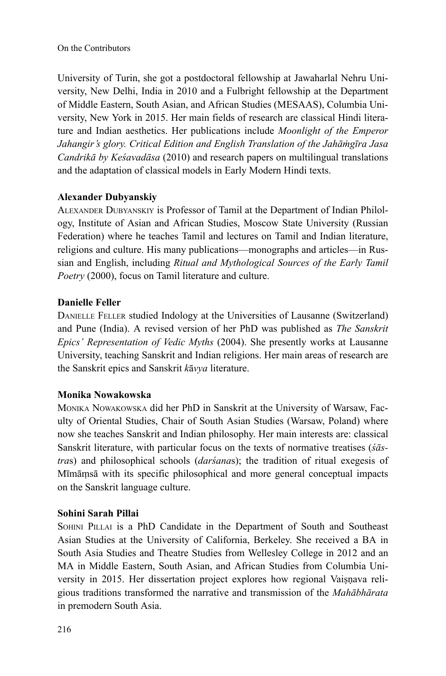University of Turin, she got a postdoctoral fellowship at Jawaharlal Nehru University, New Delhi, India in 2010 and a Fulbright fellowship at the Department of Middle Eastern, South Asian, and African Studies (MESAAS), Columbia University, New York in 2015. Her main fields of research are classical Hindi literature and Indian aesthetics. Her publications include *Moonlight of the Emperor Jahangir's glory. Critical Edition and English Translation of the Jahāṁgīra Jasa Candrikā by Keśavadāsa* (2010) and research papers on multilingual translations and the adaptation of classical models in Early Modern Hindi texts.

# **Alexander Dubyanskiy**

ALEXANDER DUBYANSKIY is Professor of Tamil at the Department of Indian Philology, Institute of Asian and African Studies, Moscow State University (Russian Federation) where he teaches Tamil and lectures on Tamil and Indian literature, religions and culture. His many publications—monographs and articles—in Russian and English, including *Ritual and Mythological Sources of the Early Tamil Poetry* (2000), focus on Tamil literature and culture.

## **Danielle Feller**

DANIELLE FELLER studied Indology at the Universities of Lausanne (Switzerland) and Pune (India). A revised version of her PhD was published as *The Sanskrit Epics' Representation of Vedic Myths* (2004). She presently works at Lausanne University, teaching Sanskrit and Indian religions. Her main areas of research are the Sanskrit epics and Sanskrit *k*ā*vya* literature.

#### **Monika Nowakowska**

MONIKA NOWAKOWSKA did her PhD in Sanskrit at the University of Warsaw, Faculty of Oriental Studies, Chair of South Asian Studies (Warsaw, Poland) where now she teaches Sanskrit and Indian philosophy. Her main interests are: classical Sanskrit literature, with particular focus on the texts of normative treatises (*śāstra*s) and philosophical schools (*darśana*s); the tradition of ritual exegesis of Mīmāṃsā with its specific philosophical and more general conceptual impacts on the Sanskrit language culture.

#### **Sohini Sarah Pillai**

SOHINI PILLAI is a PhD Candidate in the Department of South and Southeast Asian Studies at the University of California, Berkeley. She received a BA in South Asia Studies and Theatre Studies from Wellesley College in 2012 and an MA in Middle Eastern, South Asian, and African Studies from Columbia University in 2015. Her dissertation project explores how regional Vaiṣṇava religious traditions transformed the narrative and transmission of the *Mahābhārata* in premodern South Asia.